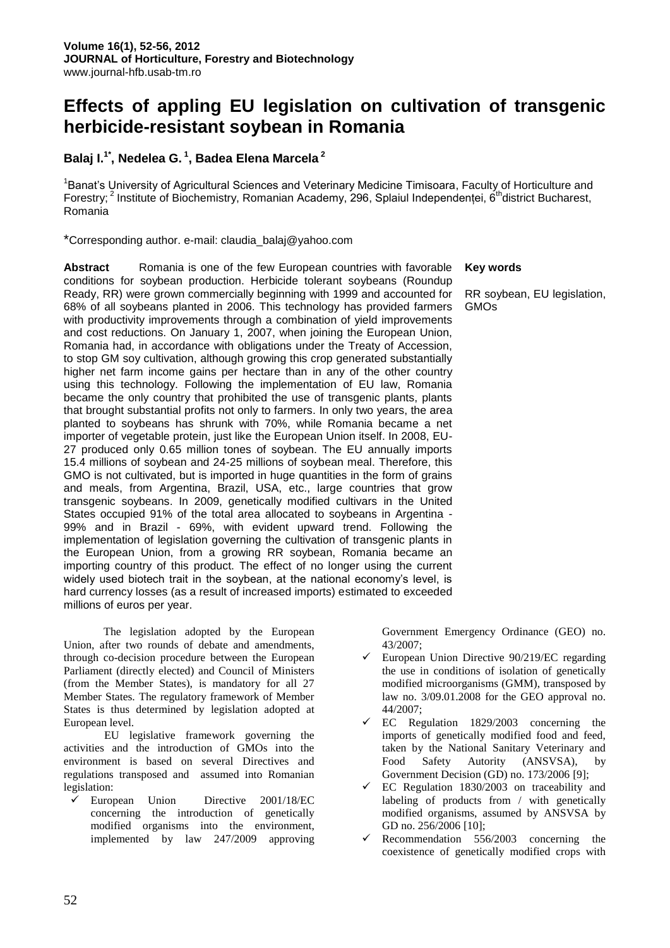# **Effects of appling EU legislation on cultivation of transgenic herbicide-resistant soybean in Romania**

## **Balaj I.1\*, Nedelea G. <sup>1</sup> , Badea Elena Marcela <sup>2</sup>**

<sup>1</sup>Banat's University of Agricultural Sciences and Veterinary Medicine Timisoara, Faculty of Horticulture and Forestry;<sup>2</sup> Institute of Biochemistry, Romanian Academy, 296, Splaiul Independenței, 6<sup>th</sup>district Bucharest, Romania

\*Corresponding author. e-mail: claudia\_balaj@yahoo.com

**Abstract** Romania is one of the few European countries with favorable conditions for soybean production. Herbicide tolerant soybeans (Roundup Ready, RR) were grown commercially beginning with 1999 and accounted for 68% of all soybeans planted in 2006. This technology has provided farmers with productivity improvements through a combination of yield improvements and cost reductions. On January 1, 2007, when joining the European Union, Romania had, in accordance with obligations under the Treaty of Accession, to stop GM soy cultivation, although growing this crop generated substantially higher net farm income gains per hectare than in any of the other country using this technology. Following the implementation of EU law, Romania became the only country that prohibited the use of transgenic plants, plants that brought substantial profits not only to farmers. In only two years, the area planted to soybeans has shrunk with 70%, while Romania became a net importer of vegetable protein, just like the European Union itself. In 2008, EU-27 produced only 0.65 million tones of soybean. The EU annually imports 15.4 millions of soybean and 24-25 millions of soybean meal. Therefore, this GMO is not cultivated, but is imported in huge quantities in the form of grains and meals, from Argentina, Brazil, USA, etc., large countries that grow transgenic soybeans. In 2009, genetically modified cultivars in the United States occupied 91% of the total area allocated to soybeans in Argentina - 99% and in Brazil - 69%, with evident upward trend. Following the implementation of legislation governing the cultivation of transgenic plants in the European Union, from a growing RR soybean, Romania became an importing country of this product. The effect of no longer using the current widely used biotech trait in the soybean, at the national economy's level, is hard currency losses (as a result of increased imports) estimated to exceeded millions of euros per year.

The legislation adopted by the European Union, after two rounds of debate and amendments, through co-decision procedure between the European Parliament (directly elected) and Council of Ministers (from the Member States), is mandatory for all 27 Member States. The regulatory framework of Member States is thus determined by legislation adopted at European level.

EU legislative framework governing the activities and the introduction of GMOs into the environment is based on several Directives and regulations transposed and assumed into Romanian legislation:

 European Union Directive 2001/18/EC concerning the introduction of genetically modified organisms into the environment, implemented by law 247/2009 approving

## **Key words**

RR soybean, EU legislation, GMOs

Government Emergency Ordinance (GEO) no. 43/2007;

- $\checkmark$  European Union Directive 90/219/EC regarding the use in conditions of isolation of genetically modified microorganisms (GMM), transposed by law no. 3/09.01.2008 for the GEO approval no. 44/2007;
- EC Regulation 1829/2003 concerning the imports of genetically modified food and feed, taken by the National Sanitary Veterinary and Food Safety Autority (ANSVSA), by Government Decision (GD) no. 173/2006 [9];
- $\checkmark$  EC Regulation 1830/2003 on traceability and labeling of products from / with genetically modified organisms, assumed by ANSVSA by GD no. 256/2006 [10];
- $\checkmark$  Recommendation 556/2003 concerning the coexistence of genetically modified crops with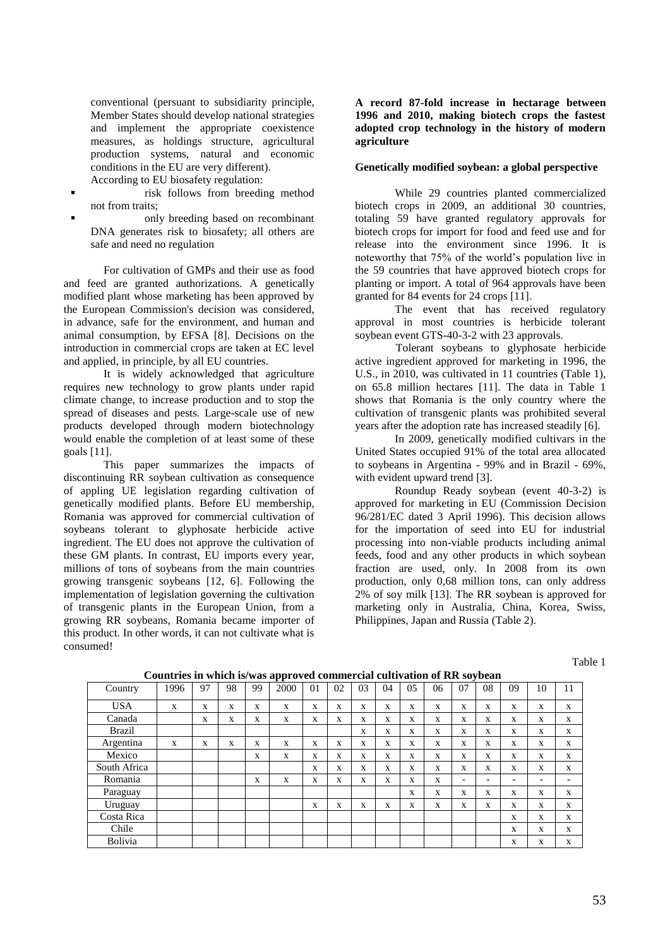conventional (persuant to subsidiarity principle, Member States should develop national strategies and implement the appropriate coexistence measures, as holdings structure, agricultural production systems, natural and economic conditions in the EU are very different).

- According to EU biosafety regulation:
- risk follows from breeding method not from traits;
- only breeding based on recombinant DNA generates risk to biosafety; all others are safe and need no regulation

For cultivation of GMPs and their use as food and feed are granted authorizations. A genetically modified plant whose marketing has been approved by the European Commission's decision was considered, in advance, safe for the environment, and human and animal consumption, by EFSA [8]. Decisions on the introduction in commercial crops are taken at EC level and applied, in principle, by all EU countries.

It is widely acknowledged that agriculture requires new technology to grow plants under rapid climate change, to increase production and to stop the spread of diseases and pests. Large-scale use of new products developed through modern biotechnology would enable the completion of at least some of these goals [11].

This paper summarizes the impacts of discontinuing RR soybean cultivation as consequence of appling UE legislation regarding cultivation of genetically modified plants. Before EU membership, Romania was approved for commercial cultivation of soybeans tolerant to glyphosate herbicide active ingredient. The EU does not approve the cultivation of these GM plants. In contrast, EU imports every year, millions of tons of soybeans from the main countries growing transgenic soybeans [12, 6]. Following the implementation of legislation governing the cultivation of transgenic plants in the European Union, from a growing RR soybeans, Romania became importer of this product. In other words, it can not cultivate what is consumed!

**A record 87-fold increase in hectarage between 1996 and 2010, making biotech crops the fastest adopted crop technology in the history of modern agriculture**

#### **Genetically modified soybean: a global perspective**

While 29 countries planted commercialized biotech crops in 2009, an additional 30 countries, totaling 59 have granted regulatory approvals for biotech crops for import for food and feed use and for release into the environment since 1996. It is noteworthy that 75% of the world's population live in the 59 countries that have approved biotech crops for planting or import. A total of 964 approvals have been granted for 84 events for 24 crops [11].

The event that has received regulatory approval in most countries is herbicide tolerant soybean event GTS-40-3-2 with 23 approvals.

Tolerant soybeans to glyphosate herbicide active ingredient approved for marketing in 1996, the U.S., in 2010, was cultivated in 11 countries (Table 1), on 65.8 million hectares [11]. The data in Table 1 shows that Romania is the only country where the cultivation of transgenic plants was prohibited several years after the adoption rate has increased steadily [6].

In 2009, genetically modified cultivars in the United States occupied 91% of the total area allocated to soybeans in Argentina - 99% and in Brazil - 69%, with evident upward trend [3].

Roundup Ready soybean (event 40-3-2) is approved for marketing in EU (Commission Decision 96/281/EC dated 3 April 1996). This decision allows for the importation of seed into EU for industrial processing into non-viable products including animal feeds, food and any other products in which soybean fraction are used, only. In 2008 from its own production, only 0,68 million tons, can only address 2% of soy milk [13]. The RR soybean is approved for marketing only in Australia, China, Korea, Swiss, Philippines, Japan and Russia (Table 2).

Table 1

| Country      | 1996 | 97 | 98 | 99 | r r - -<br>2000 | 01 | 02 | 03 | 04 | 0.5          | 06 | 07                       | 08                       | 09                       | 10                       | 11 |
|--------------|------|----|----|----|-----------------|----|----|----|----|--------------|----|--------------------------|--------------------------|--------------------------|--------------------------|----|
| <b>USA</b>   | X    | X  | X  | X  | X               | X  | X  | X  | X  | X            | X  | X                        | X                        | X                        | X                        | X  |
| Canada       |      | X  | X  | X  | X               | X  | X  | X  | X  | X            | X  | X                        | X                        | X                        | X                        | X  |
| Brazil       |      |    |    |    |                 |    |    | X  | X  | X            | X  | X                        | X                        | X                        | X                        | X  |
| Argentina    | X    | X  | X  | X  | X               | X  | X  | X  | X  | $\mathbf{x}$ | X  | X                        | X                        | X                        | X                        | X  |
| Mexico       |      |    |    | X  | X               | X  | X  | X  | X  | $\mathbf{x}$ | X  | X                        | X                        | X                        | X                        | X  |
| South Africa |      |    |    |    |                 | X  | X  | X  | X  | X            | X  | X                        | X                        | X                        | X                        | X  |
| Romania      |      |    |    | X  | X               | X  | X  | X  | X  | X            | X  | $\overline{\phantom{a}}$ | $\overline{\phantom{a}}$ | $\overline{\phantom{0}}$ | $\overline{\phantom{0}}$ | -  |
| Paraguay     |      |    |    |    |                 |    |    |    |    | X            | X  | X                        | X                        | X                        | X                        | X  |
| Uruguay      |      |    |    |    |                 | X  | X  | X  | X  | X            | X  | X                        | X                        | X                        | X                        | X  |
| Costa Rica   |      |    |    |    |                 |    |    |    |    |              |    |                          |                          | X                        | X                        | X  |
| Chile        |      |    |    |    |                 |    |    |    |    |              |    |                          |                          | X                        | X                        | X  |
| Bolivia      |      |    |    |    |                 |    |    |    |    |              |    |                          |                          | X                        | X                        | X  |

**Countries in which is/was approved commercial cultivation of RR soybean**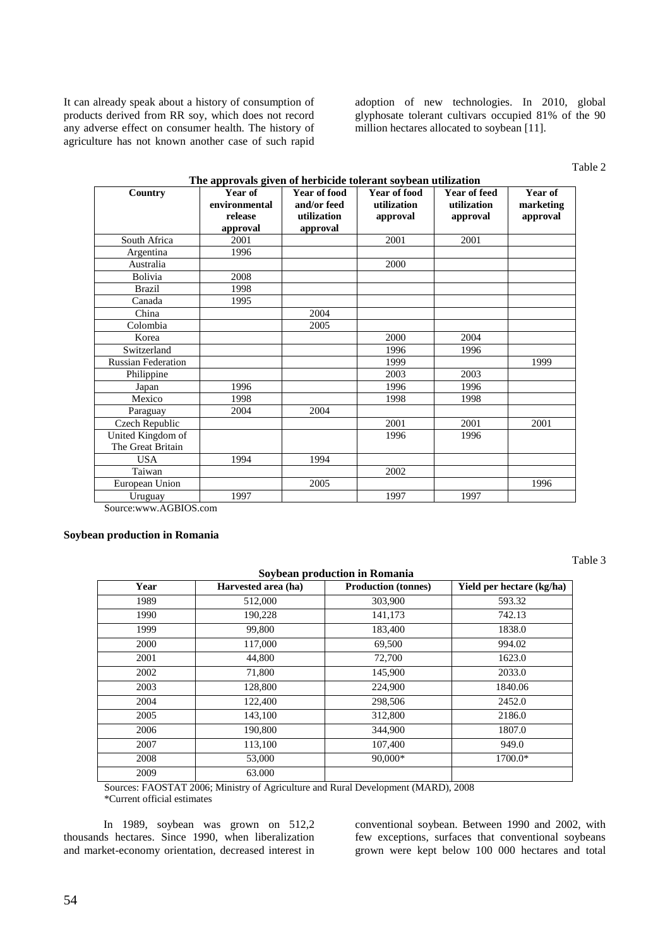It can already speak about a history of consumption of products derived from RR soy, which does not record any adverse effect on consumer health. The history of agriculture has not known another case of such rapid adoption of new technologies. In 2010, global glyphosate tolerant cultivars occupied 81% of the 90 million hectares allocated to soybean [11].

Table 2

| Country                   | Year of       | <b>Year of food</b> | Year of food | Year of feed | Year of   |
|---------------------------|---------------|---------------------|--------------|--------------|-----------|
|                           | environmental | and/or feed         | utilization  | utilization  | marketing |
|                           | release       | utilization         | approval     | approval     | approval  |
|                           | approval      | approval            |              |              |           |
| South Africa              | 2001          |                     | 2001         | 2001         |           |
| Argentina                 | 1996          |                     |              |              |           |
| Australia                 |               |                     | 2000         |              |           |
| Bolivia                   | 2008          |                     |              |              |           |
| <b>Brazil</b>             | 1998          |                     |              |              |           |
| Canada                    | 1995          |                     |              |              |           |
| China                     |               | 2004                |              |              |           |
| Colombia                  |               | 2005                |              |              |           |
| Korea                     |               |                     | 2000         | 2004         |           |
| Switzerland               |               |                     | 1996         | 1996         |           |
| <b>Russian Federation</b> |               |                     | 1999         |              | 1999      |
| Philippine                |               |                     | 2003         | 2003         |           |
| Japan                     | 1996          |                     | 1996         | 1996         |           |
| Mexico                    | 1998          |                     | 1998         | 1998         |           |
| Paraguay                  | 2004          | 2004                |              |              |           |
| Czech Republic            |               |                     | 2001         | 2001         | 2001      |
| United Kingdom of         |               |                     | 1996         | 1996         |           |
| The Great Britain         |               |                     |              |              |           |
| <b>USA</b>                | 1994          | 1994                |              |              |           |
| Taiwan                    |               |                     | 2002         |              |           |
| European Union            |               | 2005                |              |              | 1996      |
| Uruguay                   | 1997          |                     | 1997         | 1997         |           |

#### **The approvals given of herbicide tolerant soybean utilization**

Source:www.AGBIOS.com

#### **Soybean production in Romania**

Table 3

| Soybean production in Romania |                     |                            |                           |  |  |  |  |
|-------------------------------|---------------------|----------------------------|---------------------------|--|--|--|--|
| Year                          | Harvested area (ha) | <b>Production (tonnes)</b> | Yield per hectare (kg/ha) |  |  |  |  |
| 1989                          | 512,000             | 303,900                    | 593.32                    |  |  |  |  |
| 1990                          | 190,228             | 141,173                    | 742.13                    |  |  |  |  |
| 1999                          | 99,800              | 183,400                    | 1838.0                    |  |  |  |  |
| 2000                          | 117,000             | 69,500                     | 994.02                    |  |  |  |  |
| 2001                          | 44,800              | 72,700                     | 1623.0                    |  |  |  |  |
| 2002                          | 71,800              | 145,900                    | 2033.0                    |  |  |  |  |
| 2003                          | 128,800             | 224,900                    | 1840.06                   |  |  |  |  |
| 2004                          | 122,400             | 298,506                    | 2452.0                    |  |  |  |  |
| 2005                          | 143,100             | 312,800                    | 2186.0                    |  |  |  |  |
| 2006                          | 190,800             | 344,900                    | 1807.0                    |  |  |  |  |
| 2007                          | 113,100             | 107,400                    | 949.0                     |  |  |  |  |
| 2008                          | 53,000              | 90,000*                    | 1700.0*                   |  |  |  |  |
| 2009                          | 63.000              |                            |                           |  |  |  |  |

Sources: FAOSTAT 2006; Ministry of Agriculture and Rural Development (MARD), 2008 \*Current official estimates

In 1989, soybean was grown on 512,2 thousands hectares. Since 1990, when liberalization and market-economy orientation, decreased interest in

conventional soybean. Between 1990 and 2002, with few exceptions, surfaces that conventional soybeans grown were kept below 100 000 hectares and total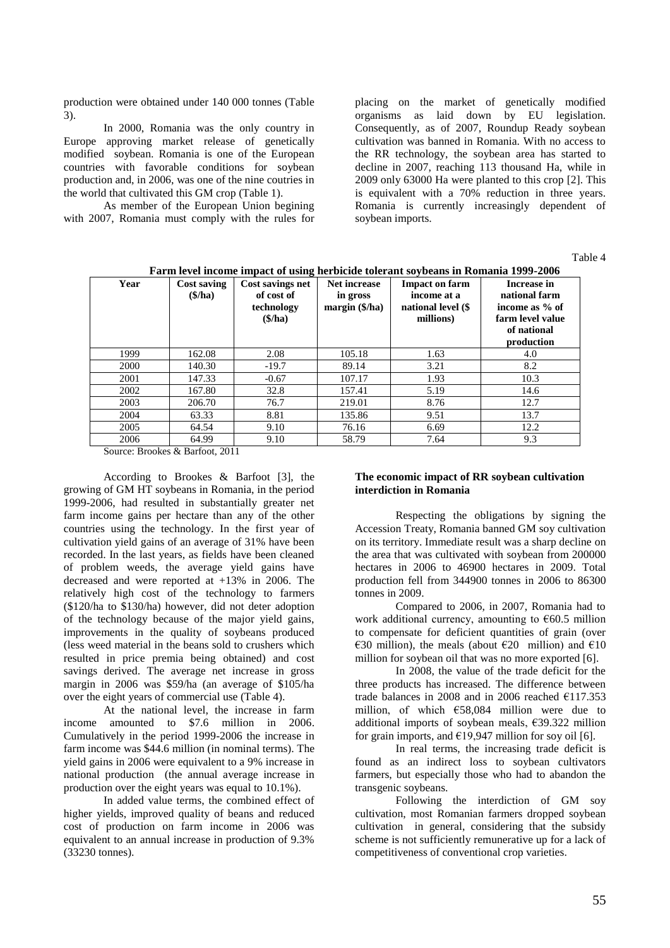production were obtained under 140 000 tonnes (Table 3).

In 2000, Romania was the only country in Europe approving market release of genetically modified soybean. Romania is one of the European countries with favorable conditions for soybean production and, in 2006, was one of the nine coutries in the world that cultivated this GM crop (Table 1).

As member of the European Union begining with 2007, Romania must comply with the rules for placing on the market of genetically modified organisms as laid down by EU legislation. Consequently, as of 2007, Roundup Ready soybean cultivation was banned in Romania. With no access to the RR technology, the soybean area has started to decline in 2007, reaching 113 thousand Ha, while in 2009 only 63000 Ha were planted to this crop [2]. This is equivalent with a 70% reduction in three years. Romania is currently increasingly dependent of soybean imports.

Table 4

| Farm level income impact of using herbicide tolerant sovbeans in Romania 1999-2006 |                                   |                                                                    |                                                   |                                                                         |                                                                                                 |  |  |  |  |
|------------------------------------------------------------------------------------|-----------------------------------|--------------------------------------------------------------------|---------------------------------------------------|-------------------------------------------------------------------------|-------------------------------------------------------------------------------------------------|--|--|--|--|
| Year                                                                               | Cost saving<br>$(\$\mathrm{/ha})$ | Cost savings net<br>of cost of<br>technology<br>$(\$\mathrm{/ha})$ | <b>Net increase</b><br>in gross<br>margin (\$/ha) | <b>Impact on farm</b><br>income at a<br>national level (\$<br>millions) | Increase in<br>national farm<br>income as % of<br>farm level value<br>of national<br>production |  |  |  |  |
| 1999                                                                               | 162.08                            | 2.08                                                               | 105.18                                            | 1.63                                                                    | 4.0                                                                                             |  |  |  |  |
| 2000                                                                               | 140.30                            | $-19.7$                                                            | 89.14                                             | 3.21                                                                    | 8.2                                                                                             |  |  |  |  |
| 2001                                                                               | 147.33                            | $-0.67$                                                            | 107.17                                            | 1.93                                                                    | 10.3                                                                                            |  |  |  |  |
| 2002                                                                               | 167.80                            | 32.8                                                               | 157.41                                            | 5.19                                                                    | 14.6                                                                                            |  |  |  |  |
| 2003                                                                               | 206.70                            | 76.7                                                               | 219.01                                            | 8.76                                                                    | 12.7                                                                                            |  |  |  |  |
| 2004                                                                               | 63.33                             | 8.81                                                               | 135.86                                            | 9.51                                                                    | 13.7                                                                                            |  |  |  |  |
| 2005                                                                               | 64.54                             | 9.10                                                               | 76.16                                             | 6.69                                                                    | 12.2                                                                                            |  |  |  |  |
| 2006                                                                               | 64.99                             | 9.10                                                               | 58.79                                             | 7.64                                                                    | 9.3                                                                                             |  |  |  |  |

**Farm level income impact of using herbicide tolerant soybeans in Romania 1999-2006**

Source: Brookes & Barfoot, 2011

According to Brookes & Barfoot [3], the growing of GM HT soybeans in Romania, in the period 1999-2006, had resulted in substantially greater net farm income gains per hectare than any of the other countries using the technology. In the first year of cultivation yield gains of an average of 31% have been recorded. In the last years, as fields have been cleaned of problem weeds, the average yield gains have decreased and were reported at +13% in 2006. The relatively high cost of the technology to farmers (\$120/ha to \$130/ha) however, did not deter adoption of the technology because of the major yield gains, improvements in the quality of soybeans produced (less weed material in the beans sold to crushers which resulted in price premia being obtained) and cost savings derived. The average net increase in gross margin in 2006 was \$59/ha (an average of \$105/ha over the eight years of commercial use (Table 4).

At the national level, the increase in farm income amounted to \$7.6 million in 2006. Cumulatively in the period 1999-2006 the increase in farm income was \$44.6 million (in nominal terms). The yield gains in 2006 were equivalent to a 9% increase in national production (the annual average increase in production over the eight years was equal to 10.1%).

In added value terms, the combined effect of higher yields, improved quality of beans and reduced cost of production on farm income in 2006 was equivalent to an annual increase in production of 9.3% (33230 tonnes).

#### **The economic impact of RR soybean cultivation interdiction in Romania**

Respecting the obligations by signing the Accession Treaty, Romania banned GM soy cultivation on its territory. Immediate result was a sharp decline on the area that was cultivated with soybean from 200000 hectares in 2006 to 46900 hectares in 2009. Total production fell from 344900 tonnes in 2006 to 86300 tonnes in 2009.

Compared to 2006, in 2007, Romania had to work additional currency, amounting to  $\epsilon$ 60.5 million to compensate for deficient quantities of grain (over €30 million), the meals (about €20 million) and €10 million for soybean oil that was no more exported [6].

In 2008, the value of the trade deficit for the three products has increased. The difference between trade balances in 2008 and in 2006 reached  $£117.353$ million, of which €58,084 million were due to additional imports of soybean meals, €39.322 million for grain imports, and  $\epsilon$ 19,947 million for soy oil [6].

In real terms, the increasing trade deficit is found as an indirect loss to soybean cultivators farmers, but especially those who had to abandon the transgenic soybeans.

Following the interdiction of GM soy cultivation, most Romanian farmers dropped soybean cultivation in general, considering that the subsidy scheme is not sufficiently remunerative up for a lack of competitiveness of conventional crop varieties.